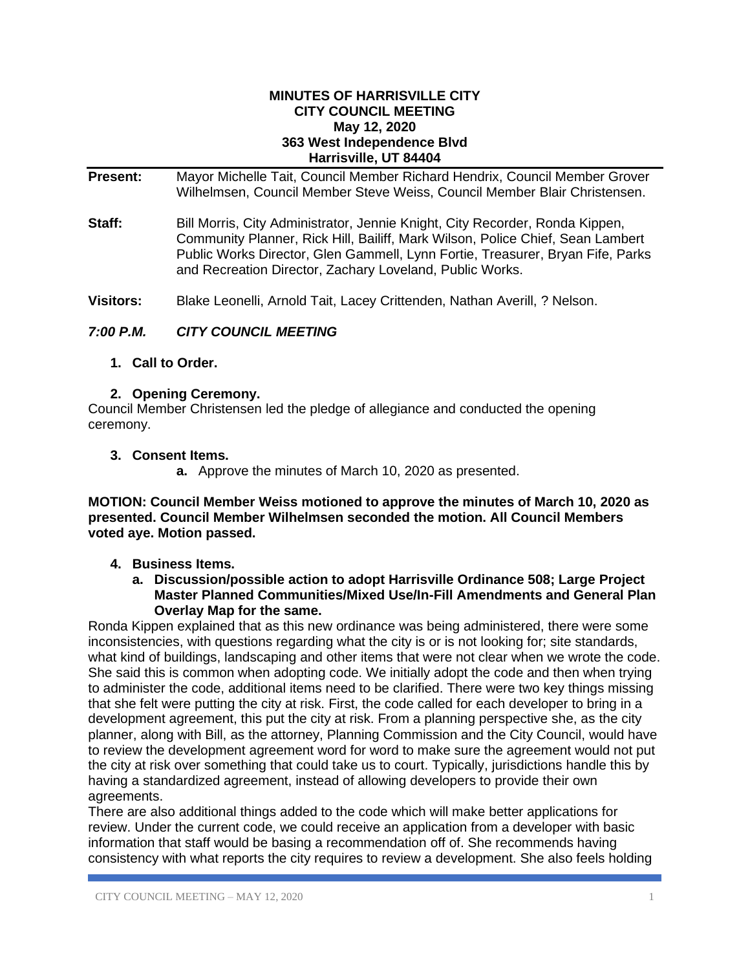#### **MINUTES OF HARRISVILLE CITY CITY COUNCIL MEETING May 12, 2020 363 West Independence Blvd Harrisville, UT 84404**

**Present:** Mayor Michelle Tait, Council Member Richard Hendrix, Council Member Grover Wilhelmsen, Council Member Steve Weiss, Council Member Blair Christensen.

**Staff:** Bill Morris, City Administrator, Jennie Knight, City Recorder, Ronda Kippen, Community Planner, Rick Hill, Bailiff, Mark Wilson, Police Chief, Sean Lambert Public Works Director, Glen Gammell, Lynn Fortie, Treasurer, Bryan Fife, Parks and Recreation Director, Zachary Loveland, Public Works.

**Visitors:** Blake Leonelli, Arnold Tait, Lacey Crittenden, Nathan Averill, ? Nelson.

# *7:00 P.M. CITY COUNCIL MEETING*

**1. Call to Order.**

## **2. Opening Ceremony.**

Council Member Christensen led the pledge of allegiance and conducted the opening ceremony.

#### **3. Consent Items.**

**a.** Approve the minutes of March 10, 2020 as presented.

**MOTION: Council Member Weiss motioned to approve the minutes of March 10, 2020 as presented. Council Member Wilhelmsen seconded the motion. All Council Members voted aye. Motion passed.**

#### **4. Business Items.**

**a. Discussion/possible action to adopt Harrisville Ordinance 508; Large Project Master Planned Communities/Mixed Use/In-Fill Amendments and General Plan Overlay Map for the same.**

Ronda Kippen explained that as this new ordinance was being administered, there were some inconsistencies, with questions regarding what the city is or is not looking for; site standards, what kind of buildings, landscaping and other items that were not clear when we wrote the code. She said this is common when adopting code. We initially adopt the code and then when trying to administer the code, additional items need to be clarified. There were two key things missing that she felt were putting the city at risk. First, the code called for each developer to bring in a development agreement, this put the city at risk. From a planning perspective she, as the city planner, along with Bill, as the attorney, Planning Commission and the City Council, would have to review the development agreement word for word to make sure the agreement would not put the city at risk over something that could take us to court. Typically, jurisdictions handle this by having a standardized agreement, instead of allowing developers to provide their own agreements.

There are also additional things added to the code which will make better applications for review. Under the current code, we could receive an application from a developer with basic information that staff would be basing a recommendation off of. She recommends having consistency with what reports the city requires to review a development. She also feels holding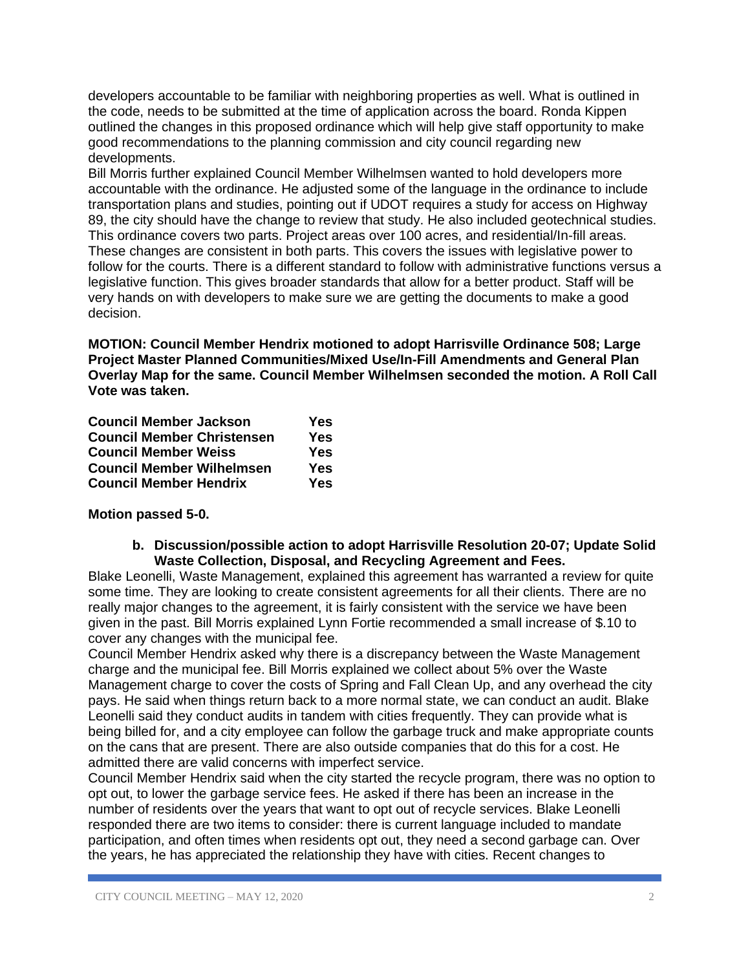developers accountable to be familiar with neighboring properties as well. What is outlined in the code, needs to be submitted at the time of application across the board. Ronda Kippen outlined the changes in this proposed ordinance which will help give staff opportunity to make good recommendations to the planning commission and city council regarding new developments.

Bill Morris further explained Council Member Wilhelmsen wanted to hold developers more accountable with the ordinance. He adjusted some of the language in the ordinance to include transportation plans and studies, pointing out if UDOT requires a study for access on Highway 89, the city should have the change to review that study. He also included geotechnical studies. This ordinance covers two parts. Project areas over 100 acres, and residential/In-fill areas. These changes are consistent in both parts. This covers the issues with legislative power to follow for the courts. There is a different standard to follow with administrative functions versus a legislative function. This gives broader standards that allow for a better product. Staff will be very hands on with developers to make sure we are getting the documents to make a good decision.

**MOTION: Council Member Hendrix motioned to adopt Harrisville Ordinance 508; Large Project Master Planned Communities/Mixed Use/In-Fill Amendments and General Plan Overlay Map for the same. Council Member Wilhelmsen seconded the motion. A Roll Call Vote was taken.**

| <b>Council Member Jackson</b>     | Yes |
|-----------------------------------|-----|
| <b>Council Member Christensen</b> | Yes |
| <b>Council Member Weiss</b>       | Yes |
| <b>Council Member Wilhelmsen</b>  | Yes |
| <b>Council Member Hendrix</b>     | Yes |

**Motion passed 5-0.**

**b. Discussion/possible action to adopt Harrisville Resolution 20-07; Update Solid Waste Collection, Disposal, and Recycling Agreement and Fees.** 

Blake Leonelli, Waste Management, explained this agreement has warranted a review for quite some time. They are looking to create consistent agreements for all their clients. There are no really major changes to the agreement, it is fairly consistent with the service we have been given in the past. Bill Morris explained Lynn Fortie recommended a small increase of \$.10 to cover any changes with the municipal fee.

Council Member Hendrix asked why there is a discrepancy between the Waste Management charge and the municipal fee. Bill Morris explained we collect about 5% over the Waste Management charge to cover the costs of Spring and Fall Clean Up, and any overhead the city pays. He said when things return back to a more normal state, we can conduct an audit. Blake Leonelli said they conduct audits in tandem with cities frequently. They can provide what is being billed for, and a city employee can follow the garbage truck and make appropriate counts on the cans that are present. There are also outside companies that do this for a cost. He admitted there are valid concerns with imperfect service.

Council Member Hendrix said when the city started the recycle program, there was no option to opt out, to lower the garbage service fees. He asked if there has been an increase in the number of residents over the years that want to opt out of recycle services. Blake Leonelli responded there are two items to consider: there is current language included to mandate participation, and often times when residents opt out, they need a second garbage can. Over the years, he has appreciated the relationship they have with cities. Recent changes to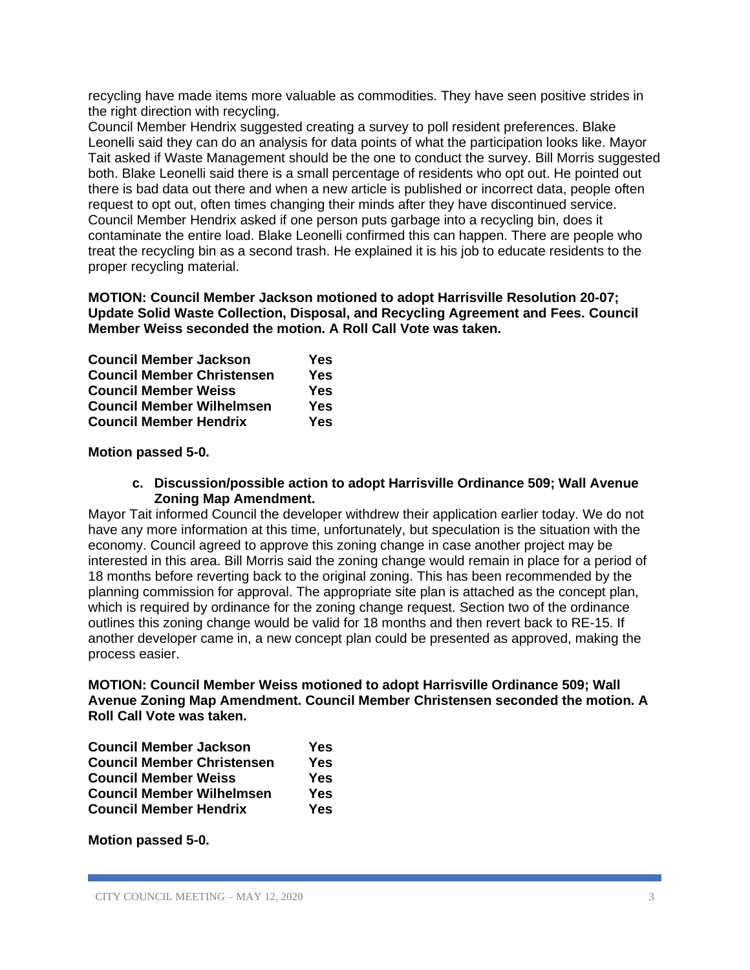recycling have made items more valuable as commodities. They have seen positive strides in the right direction with recycling.

Council Member Hendrix suggested creating a survey to poll resident preferences. Blake Leonelli said they can do an analysis for data points of what the participation looks like. Mayor Tait asked if Waste Management should be the one to conduct the survey. Bill Morris suggested both. Blake Leonelli said there is a small percentage of residents who opt out. He pointed out there is bad data out there and when a new article is published or incorrect data, people often request to opt out, often times changing their minds after they have discontinued service. Council Member Hendrix asked if one person puts garbage into a recycling bin, does it contaminate the entire load. Blake Leonelli confirmed this can happen. There are people who treat the recycling bin as a second trash. He explained it is his job to educate residents to the proper recycling material.

## **MOTION: Council Member Jackson motioned to adopt Harrisville Resolution 20-07; Update Solid Waste Collection, Disposal, and Recycling Agreement and Fees. Council Member Weiss seconded the motion. A Roll Call Vote was taken.**

| <b>Council Member Jackson</b>     | <b>Yes</b> |
|-----------------------------------|------------|
| <b>Council Member Christensen</b> | Yes        |
| <b>Council Member Weiss</b>       | <b>Yes</b> |
| <b>Council Member Wilhelmsen</b>  | <b>Yes</b> |
| <b>Council Member Hendrix</b>     | <b>Yes</b> |

# **Motion passed 5-0.**

# **c. Discussion/possible action to adopt Harrisville Ordinance 509; Wall Avenue Zoning Map Amendment.**

Mayor Tait informed Council the developer withdrew their application earlier today. We do not have any more information at this time, unfortunately, but speculation is the situation with the economy. Council agreed to approve this zoning change in case another project may be interested in this area. Bill Morris said the zoning change would remain in place for a period of 18 months before reverting back to the original zoning. This has been recommended by the planning commission for approval. The appropriate site plan is attached as the concept plan, which is required by ordinance for the zoning change request. Section two of the ordinance outlines this zoning change would be valid for 18 months and then revert back to RE-15. If another developer came in, a new concept plan could be presented as approved, making the process easier.

# **MOTION: Council Member Weiss motioned to adopt Harrisville Ordinance 509; Wall Avenue Zoning Map Amendment. Council Member Christensen seconded the motion. A Roll Call Vote was taken.**

| <b>Council Member Jackson</b>     | Yes |
|-----------------------------------|-----|
| <b>Council Member Christensen</b> | Yes |
| <b>Council Member Weiss</b>       | Yes |
| <b>Council Member Wilhelmsen</b>  | Yes |
| <b>Council Member Hendrix</b>     | Yes |

**Motion passed 5-0.**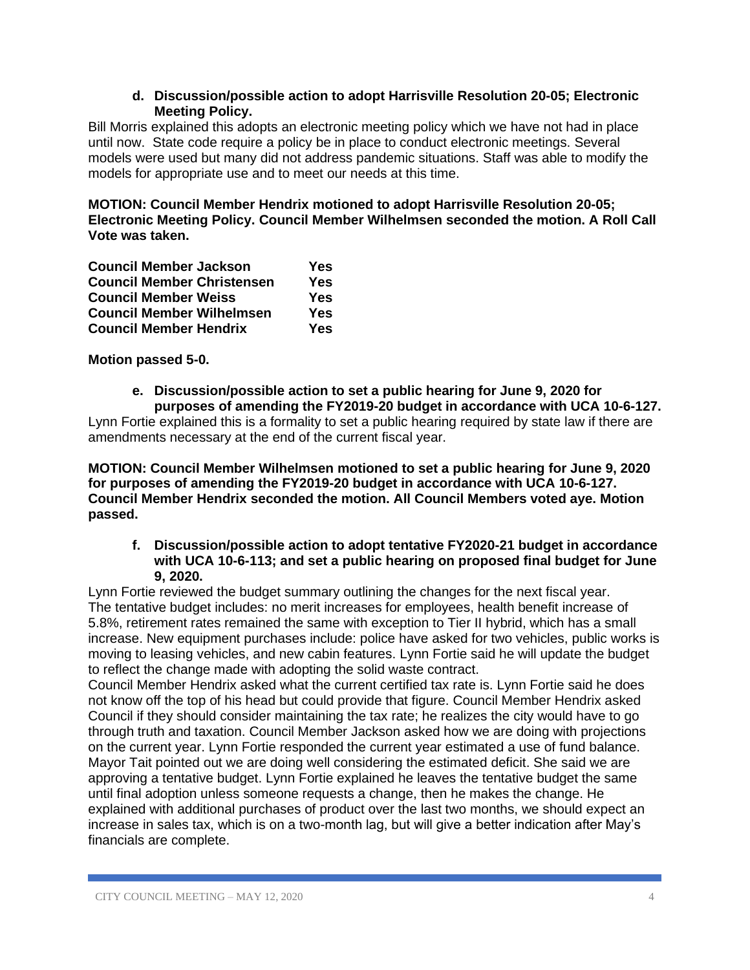# **d. Discussion/possible action to adopt Harrisville Resolution 20-05; Electronic Meeting Policy.**

Bill Morris explained this adopts an electronic meeting policy which we have not had in place until now. State code require a policy be in place to conduct electronic meetings. Several models were used but many did not address pandemic situations. Staff was able to modify the models for appropriate use and to meet our needs at this time.

**MOTION: Council Member Hendrix motioned to adopt Harrisville Resolution 20-05; Electronic Meeting Policy. Council Member Wilhelmsen seconded the motion. A Roll Call Vote was taken.**

| <b>Council Member Jackson</b>     | Yes |
|-----------------------------------|-----|
| <b>Council Member Christensen</b> | Yes |
| <b>Council Member Weiss</b>       | Yes |
| <b>Council Member Wilhelmsen</b>  | Yes |
| <b>Council Member Hendrix</b>     | Yes |

**Motion passed 5-0.**

**e. Discussion/possible action to set a public hearing for June 9, 2020 for purposes of amending the FY2019-20 budget in accordance with UCA 10-6-127.**

Lynn Fortie explained this is a formality to set a public hearing required by state law if there are amendments necessary at the end of the current fiscal year.

**MOTION: Council Member Wilhelmsen motioned to set a public hearing for June 9, 2020 for purposes of amending the FY2019-20 budget in accordance with UCA 10-6-127. Council Member Hendrix seconded the motion. All Council Members voted aye. Motion passed.**

## **f. Discussion/possible action to adopt tentative FY2020-21 budget in accordance with UCA 10-6-113; and set a public hearing on proposed final budget for June 9, 2020.**

Lynn Fortie reviewed the budget summary outlining the changes for the next fiscal year. The tentative budget includes: no merit increases for employees, health benefit increase of 5.8%, retirement rates remained the same with exception to Tier II hybrid, which has a small increase. New equipment purchases include: police have asked for two vehicles, public works is moving to leasing vehicles, and new cabin features. Lynn Fortie said he will update the budget to reflect the change made with adopting the solid waste contract.

Council Member Hendrix asked what the current certified tax rate is. Lynn Fortie said he does not know off the top of his head but could provide that figure. Council Member Hendrix asked Council if they should consider maintaining the tax rate; he realizes the city would have to go through truth and taxation. Council Member Jackson asked how we are doing with projections on the current year. Lynn Fortie responded the current year estimated a use of fund balance. Mayor Tait pointed out we are doing well considering the estimated deficit. She said we are approving a tentative budget. Lynn Fortie explained he leaves the tentative budget the same until final adoption unless someone requests a change, then he makes the change. He explained with additional purchases of product over the last two months, we should expect an increase in sales tax, which is on a two-month lag, but will give a better indication after May's financials are complete.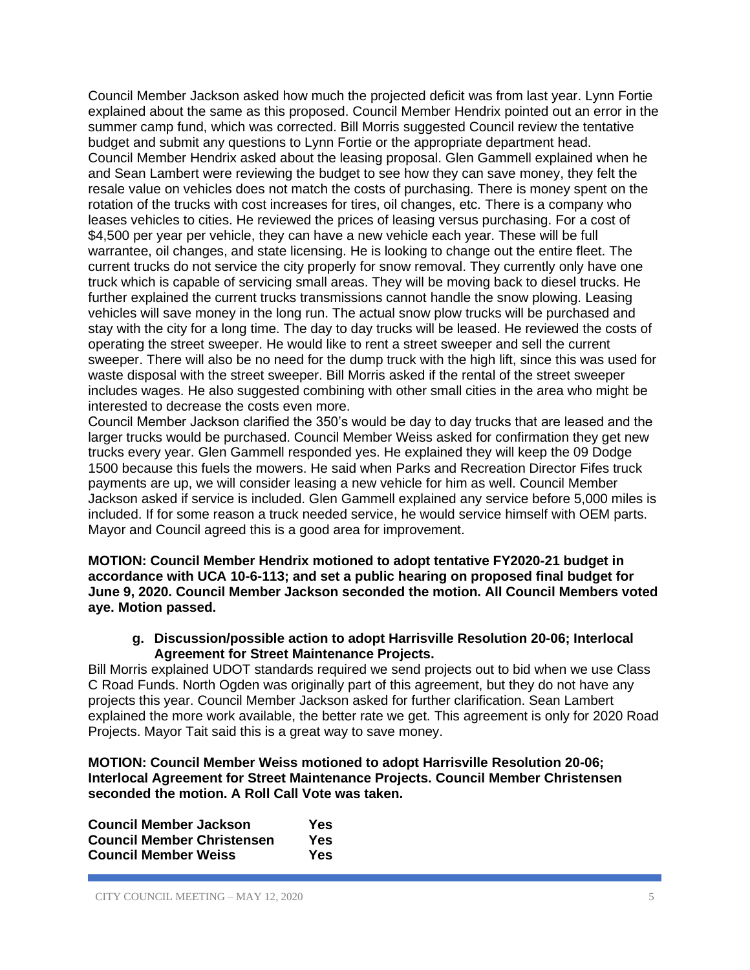Council Member Jackson asked how much the projected deficit was from last year. Lynn Fortie explained about the same as this proposed. Council Member Hendrix pointed out an error in the summer camp fund, which was corrected. Bill Morris suggested Council review the tentative budget and submit any questions to Lynn Fortie or the appropriate department head. Council Member Hendrix asked about the leasing proposal. Glen Gammell explained when he and Sean Lambert were reviewing the budget to see how they can save money, they felt the resale value on vehicles does not match the costs of purchasing. There is money spent on the rotation of the trucks with cost increases for tires, oil changes, etc. There is a company who leases vehicles to cities. He reviewed the prices of leasing versus purchasing. For a cost of \$4,500 per year per vehicle, they can have a new vehicle each year. These will be full warrantee, oil changes, and state licensing. He is looking to change out the entire fleet. The current trucks do not service the city properly for snow removal. They currently only have one truck which is capable of servicing small areas. They will be moving back to diesel trucks. He further explained the current trucks transmissions cannot handle the snow plowing. Leasing vehicles will save money in the long run. The actual snow plow trucks will be purchased and stay with the city for a long time. The day to day trucks will be leased. He reviewed the costs of operating the street sweeper. He would like to rent a street sweeper and sell the current sweeper. There will also be no need for the dump truck with the high lift, since this was used for waste disposal with the street sweeper. Bill Morris asked if the rental of the street sweeper includes wages. He also suggested combining with other small cities in the area who might be interested to decrease the costs even more.

Council Member Jackson clarified the 350's would be day to day trucks that are leased and the larger trucks would be purchased. Council Member Weiss asked for confirmation they get new trucks every year. Glen Gammell responded yes. He explained they will keep the 09 Dodge 1500 because this fuels the mowers. He said when Parks and Recreation Director Fifes truck payments are up, we will consider leasing a new vehicle for him as well. Council Member Jackson asked if service is included. Glen Gammell explained any service before 5,000 miles is included. If for some reason a truck needed service, he would service himself with OEM parts. Mayor and Council agreed this is a good area for improvement.

**MOTION: Council Member Hendrix motioned to adopt tentative FY2020-21 budget in accordance with UCA 10-6-113; and set a public hearing on proposed final budget for June 9, 2020. Council Member Jackson seconded the motion. All Council Members voted aye. Motion passed.**

**g. Discussion/possible action to adopt Harrisville Resolution 20-06; Interlocal Agreement for Street Maintenance Projects.**

Bill Morris explained UDOT standards required we send projects out to bid when we use Class C Road Funds. North Ogden was originally part of this agreement, but they do not have any projects this year. Council Member Jackson asked for further clarification. Sean Lambert explained the more work available, the better rate we get. This agreement is only for 2020 Road Projects. Mayor Tait said this is a great way to save money.

**MOTION: Council Member Weiss motioned to adopt Harrisville Resolution 20-06; Interlocal Agreement for Street Maintenance Projects. Council Member Christensen seconded the motion. A Roll Call Vote was taken.**

| <b>Council Member Jackson</b>     | Yes |
|-----------------------------------|-----|
| <b>Council Member Christensen</b> | Yes |
| <b>Council Member Weiss</b>       | Yes |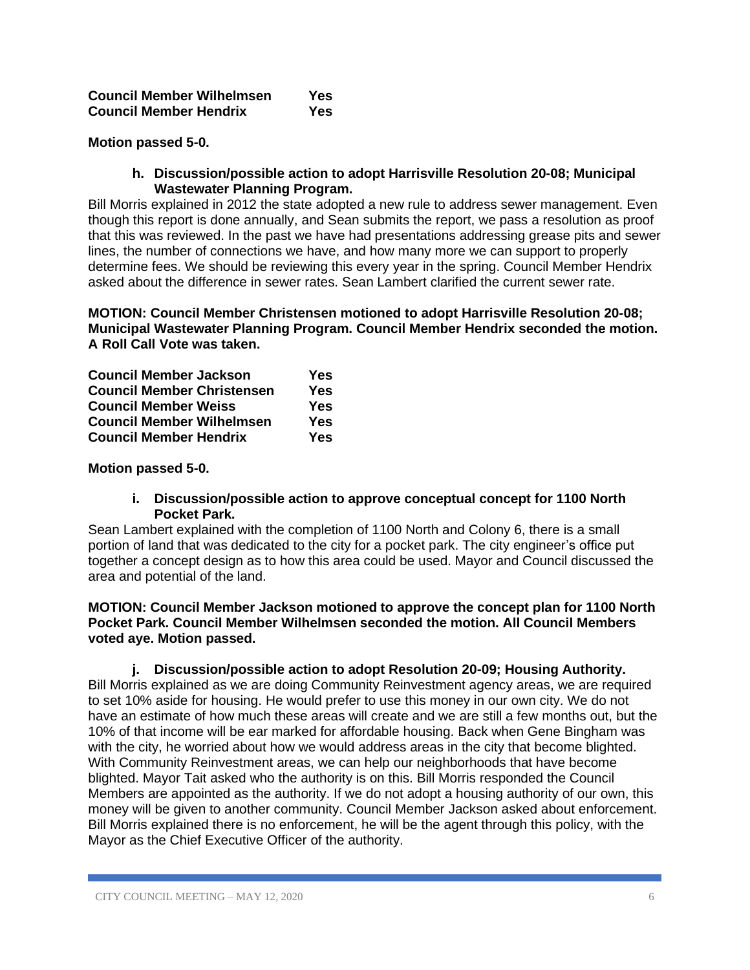| <b>Council Member Wilhelmsen</b> | Yes |
|----------------------------------|-----|
| <b>Council Member Hendrix</b>    | Yes |

## **Motion passed 5-0.**

### **h. Discussion/possible action to adopt Harrisville Resolution 20-08; Municipal Wastewater Planning Program.**

Bill Morris explained in 2012 the state adopted a new rule to address sewer management. Even though this report is done annually, and Sean submits the report, we pass a resolution as proof that this was reviewed. In the past we have had presentations addressing grease pits and sewer lines, the number of connections we have, and how many more we can support to properly determine fees. We should be reviewing this every year in the spring. Council Member Hendrix asked about the difference in sewer rates. Sean Lambert clarified the current sewer rate.

**MOTION: Council Member Christensen motioned to adopt Harrisville Resolution 20-08; Municipal Wastewater Planning Program. Council Member Hendrix seconded the motion. A Roll Call Vote was taken.**

| <b>Council Member Jackson</b>     | <b>Yes</b> |
|-----------------------------------|------------|
| <b>Council Member Christensen</b> | <b>Yes</b> |
| <b>Council Member Weiss</b>       | <b>Yes</b> |
| <b>Council Member Wilhelmsen</b>  | <b>Yes</b> |
| <b>Council Member Hendrix</b>     | <b>Yes</b> |

**Motion passed 5-0.**

#### **i. Discussion/possible action to approve conceptual concept for 1100 North Pocket Park.**

Sean Lambert explained with the completion of 1100 North and Colony 6, there is a small portion of land that was dedicated to the city for a pocket park. The city engineer's office put together a concept design as to how this area could be used. Mayor and Council discussed the area and potential of the land.

### **MOTION: Council Member Jackson motioned to approve the concept plan for 1100 North Pocket Park. Council Member Wilhelmsen seconded the motion. All Council Members voted aye. Motion passed.**

#### **j. Discussion/possible action to adopt Resolution 20-09; Housing Authority.**

Bill Morris explained as we are doing Community Reinvestment agency areas, we are required to set 10% aside for housing. He would prefer to use this money in our own city. We do not have an estimate of how much these areas will create and we are still a few months out, but the 10% of that income will be ear marked for affordable housing. Back when Gene Bingham was with the city, he worried about how we would address areas in the city that become blighted. With Community Reinvestment areas, we can help our neighborhoods that have become blighted. Mayor Tait asked who the authority is on this. Bill Morris responded the Council Members are appointed as the authority. If we do not adopt a housing authority of our own, this money will be given to another community. Council Member Jackson asked about enforcement. Bill Morris explained there is no enforcement, he will be the agent through this policy, with the Mayor as the Chief Executive Officer of the authority.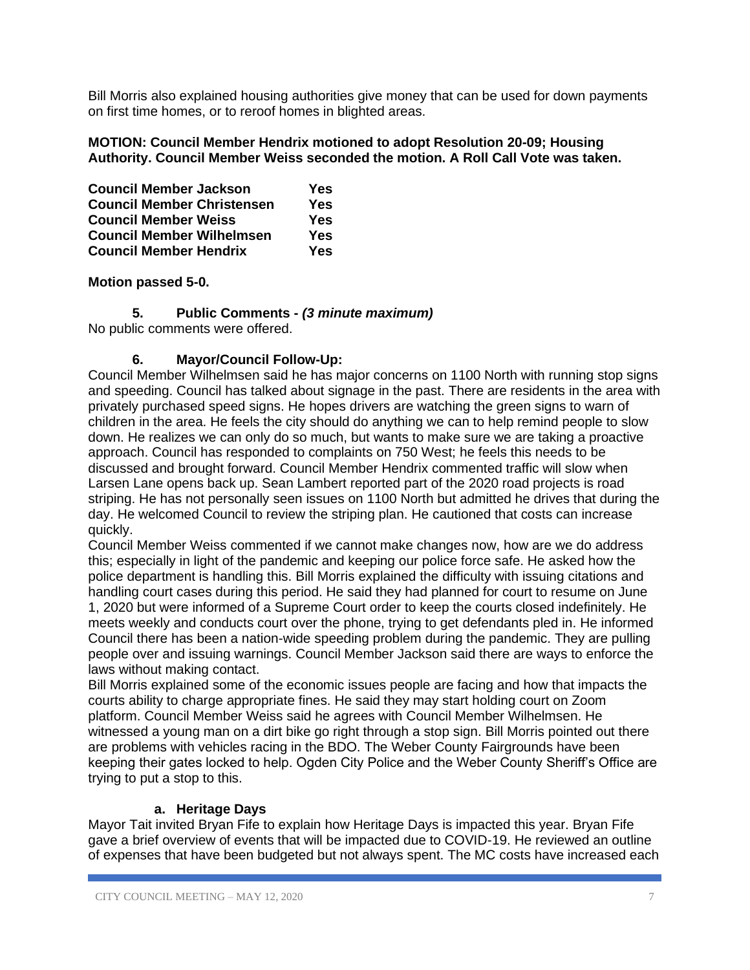Bill Morris also explained housing authorities give money that can be used for down payments on first time homes, or to reroof homes in blighted areas.

# **MOTION: Council Member Hendrix motioned to adopt Resolution 20-09; Housing Authority. Council Member Weiss seconded the motion. A Roll Call Vote was taken.**

| <b>Council Member Jackson</b>     | <b>Yes</b> |
|-----------------------------------|------------|
| <b>Council Member Christensen</b> | <b>Yes</b> |
| <b>Council Member Weiss</b>       | <b>Yes</b> |
| <b>Council Member Wilhelmsen</b>  | <b>Yes</b> |
| <b>Council Member Hendrix</b>     | Yes:       |

# **Motion passed 5-0.**

**5. Public Comments -** *(3 minute maximum)*

No public comments were offered.

# **6. Mayor/Council Follow-Up:**

Council Member Wilhelmsen said he has major concerns on 1100 North with running stop signs and speeding. Council has talked about signage in the past. There are residents in the area with privately purchased speed signs. He hopes drivers are watching the green signs to warn of children in the area. He feels the city should do anything we can to help remind people to slow down. He realizes we can only do so much, but wants to make sure we are taking a proactive approach. Council has responded to complaints on 750 West; he feels this needs to be discussed and brought forward. Council Member Hendrix commented traffic will slow when Larsen Lane opens back up. Sean Lambert reported part of the 2020 road projects is road striping. He has not personally seen issues on 1100 North but admitted he drives that during the day. He welcomed Council to review the striping plan. He cautioned that costs can increase quickly.

Council Member Weiss commented if we cannot make changes now, how are we do address this; especially in light of the pandemic and keeping our police force safe. He asked how the police department is handling this. Bill Morris explained the difficulty with issuing citations and handling court cases during this period. He said they had planned for court to resume on June 1, 2020 but were informed of a Supreme Court order to keep the courts closed indefinitely. He meets weekly and conducts court over the phone, trying to get defendants pled in. He informed Council there has been a nation-wide speeding problem during the pandemic. They are pulling people over and issuing warnings. Council Member Jackson said there are ways to enforce the laws without making contact.

Bill Morris explained some of the economic issues people are facing and how that impacts the courts ability to charge appropriate fines. He said they may start holding court on Zoom platform. Council Member Weiss said he agrees with Council Member Wilhelmsen. He witnessed a young man on a dirt bike go right through a stop sign. Bill Morris pointed out there are problems with vehicles racing in the BDO. The Weber County Fairgrounds have been keeping their gates locked to help. Ogden City Police and the Weber County Sheriff's Office are trying to put a stop to this.

# **a. Heritage Days**

Mayor Tait invited Bryan Fife to explain how Heritage Days is impacted this year. Bryan Fife gave a brief overview of events that will be impacted due to COVID-19. He reviewed an outline of expenses that have been budgeted but not always spent. The MC costs have increased each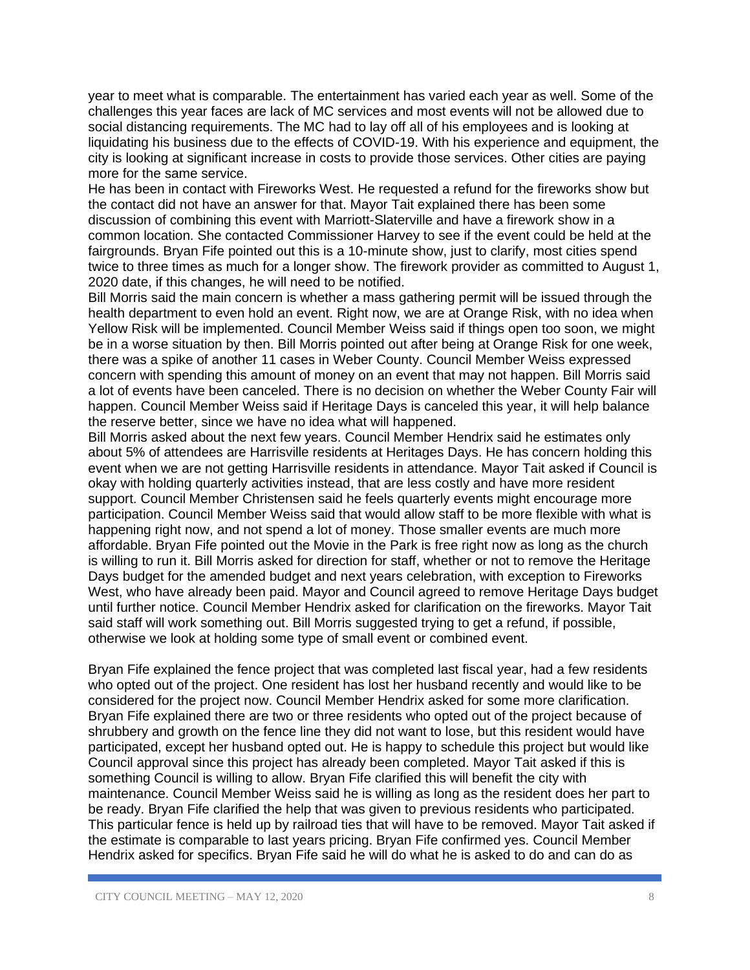year to meet what is comparable. The entertainment has varied each year as well. Some of the challenges this year faces are lack of MC services and most events will not be allowed due to social distancing requirements. The MC had to lay off all of his employees and is looking at liquidating his business due to the effects of COVID-19. With his experience and equipment, the city is looking at significant increase in costs to provide those services. Other cities are paying more for the same service.

He has been in contact with Fireworks West. He requested a refund for the fireworks show but the contact did not have an answer for that. Mayor Tait explained there has been some discussion of combining this event with Marriott-Slaterville and have a firework show in a common location. She contacted Commissioner Harvey to see if the event could be held at the fairgrounds. Bryan Fife pointed out this is a 10-minute show, just to clarify, most cities spend twice to three times as much for a longer show. The firework provider as committed to August 1, 2020 date, if this changes, he will need to be notified.

Bill Morris said the main concern is whether a mass gathering permit will be issued through the health department to even hold an event. Right now, we are at Orange Risk, with no idea when Yellow Risk will be implemented. Council Member Weiss said if things open too soon, we might be in a worse situation by then. Bill Morris pointed out after being at Orange Risk for one week, there was a spike of another 11 cases in Weber County. Council Member Weiss expressed concern with spending this amount of money on an event that may not happen. Bill Morris said a lot of events have been canceled. There is no decision on whether the Weber County Fair will happen. Council Member Weiss said if Heritage Days is canceled this year, it will help balance the reserve better, since we have no idea what will happened.

Bill Morris asked about the next few years. Council Member Hendrix said he estimates only about 5% of attendees are Harrisville residents at Heritages Days. He has concern holding this event when we are not getting Harrisville residents in attendance. Mayor Tait asked if Council is okay with holding quarterly activities instead, that are less costly and have more resident support. Council Member Christensen said he feels quarterly events might encourage more participation. Council Member Weiss said that would allow staff to be more flexible with what is happening right now, and not spend a lot of money. Those smaller events are much more affordable. Bryan Fife pointed out the Movie in the Park is free right now as long as the church is willing to run it. Bill Morris asked for direction for staff, whether or not to remove the Heritage Days budget for the amended budget and next years celebration, with exception to Fireworks West, who have already been paid. Mayor and Council agreed to remove Heritage Days budget until further notice. Council Member Hendrix asked for clarification on the fireworks. Mayor Tait said staff will work something out. Bill Morris suggested trying to get a refund, if possible, otherwise we look at holding some type of small event or combined event.

Bryan Fife explained the fence project that was completed last fiscal year, had a few residents who opted out of the project. One resident has lost her husband recently and would like to be considered for the project now. Council Member Hendrix asked for some more clarification. Bryan Fife explained there are two or three residents who opted out of the project because of shrubbery and growth on the fence line they did not want to lose, but this resident would have participated, except her husband opted out. He is happy to schedule this project but would like Council approval since this project has already been completed. Mayor Tait asked if this is something Council is willing to allow. Bryan Fife clarified this will benefit the city with maintenance. Council Member Weiss said he is willing as long as the resident does her part to be ready. Bryan Fife clarified the help that was given to previous residents who participated. This particular fence is held up by railroad ties that will have to be removed. Mayor Tait asked if the estimate is comparable to last years pricing. Bryan Fife confirmed yes. Council Member Hendrix asked for specifics. Bryan Fife said he will do what he is asked to do and can do as